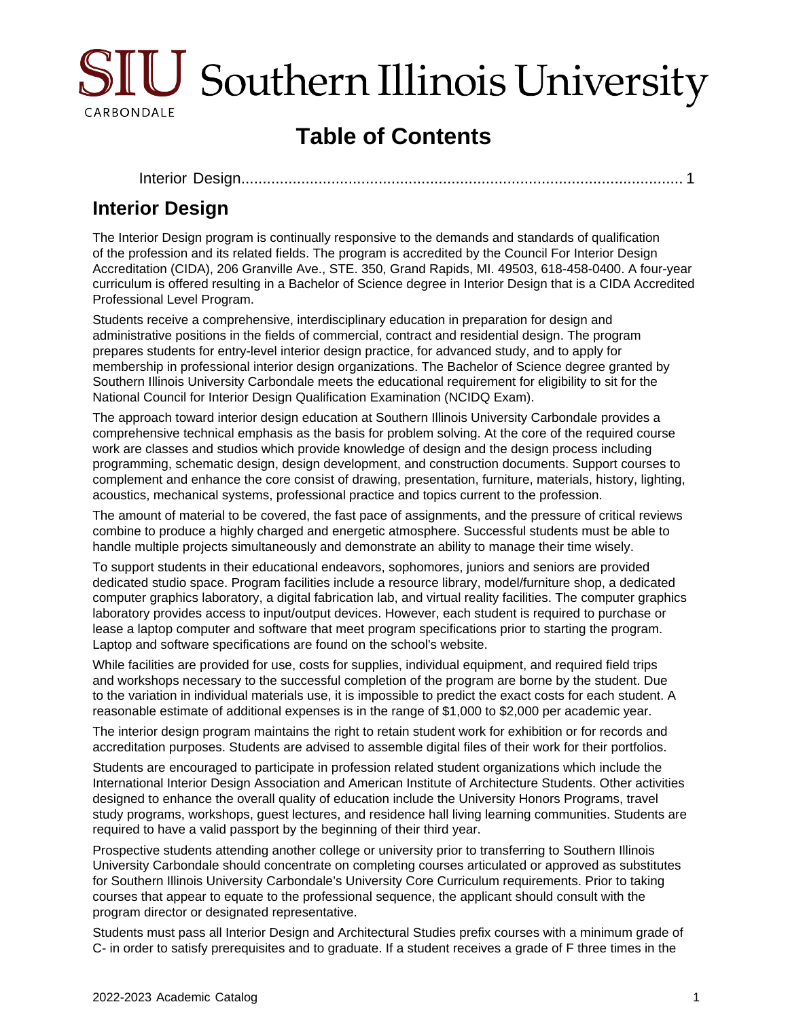

# **Table of Contents**

[Interior Design...................................................................................................](#page-0-0).... 1

## <span id="page-0-0"></span>**Interior Design**

The Interior Design program is continually responsive to the demands and standards of qualification of the profession and its related fields. The program is accredited by the Council For Interior Design Accreditation (CIDA), 206 Granville Ave., STE. 350, Grand Rapids, MI. 49503, 618-458-0400. A four-year curriculum is offered resulting in a Bachelor of Science degree in Interior Design that is a CIDA Accredited Professional Level Program.

Students receive a comprehensive, interdisciplinary education in preparation for design and administrative positions in the fields of commercial, contract and residential design. The program prepares students for entry-level interior design practice, for advanced study, and to apply for membership in professional interior design organizations. The Bachelor of Science degree granted by Southern Illinois University Carbondale meets the educational requirement for eligibility to sit for the National Council for Interior Design Qualification Examination (NCIDQ Exam).

The approach toward interior design education at Southern Illinois University Carbondale provides a comprehensive technical emphasis as the basis for problem solving. At the core of the required course work are classes and studios which provide knowledge of design and the design process including programming, schematic design, design development, and construction documents. Support courses to complement and enhance the core consist of drawing, presentation, furniture, materials, history, lighting, acoustics, mechanical systems, professional practice and topics current to the profession.

The amount of material to be covered, the fast pace of assignments, and the pressure of critical reviews combine to produce a highly charged and energetic atmosphere. Successful students must be able to handle multiple projects simultaneously and demonstrate an ability to manage their time wisely.

To support students in their educational endeavors, sophomores, juniors and seniors are provided dedicated studio space. Program facilities include a resource library, model/furniture shop, a dedicated computer graphics laboratory, a digital fabrication lab, and virtual reality facilities. The computer graphics laboratory provides access to input/output devices. However, each student is required to purchase or lease a laptop computer and software that meet program specifications prior to starting the program. Laptop and software specifications are found on the school's website.

While facilities are provided for use, costs for supplies, individual equipment, and required field trips and workshops necessary to the successful completion of the program are borne by the student. Due to the variation in individual materials use, it is impossible to predict the exact costs for each student. A reasonable estimate of additional expenses is in the range of \$1,000 to \$2,000 per academic year.

The interior design program maintains the right to retain student work for exhibition or for records and accreditation purposes. Students are advised to assemble digital files of their work for their portfolios.

Students are encouraged to participate in profession related student organizations which include the International Interior Design Association and American Institute of Architecture Students. Other activities designed to enhance the overall quality of education include the University Honors Programs, travel study programs, workshops, guest lectures, and residence hall living learning communities. Students are required to have a valid passport by the beginning of their third year.

Prospective students attending another college or university prior to transferring to Southern Illinois University Carbondale should concentrate on completing courses articulated or approved as substitutes for Southern Illinois University Carbondale's University Core Curriculum requirements. Prior to taking courses that appear to equate to the professional sequence, the applicant should consult with the program director or designated representative.

Students must pass all Interior Design and Architectural Studies prefix courses with a minimum grade of C- in order to satisfy prerequisites and to graduate. If a student receives a grade of F three times in the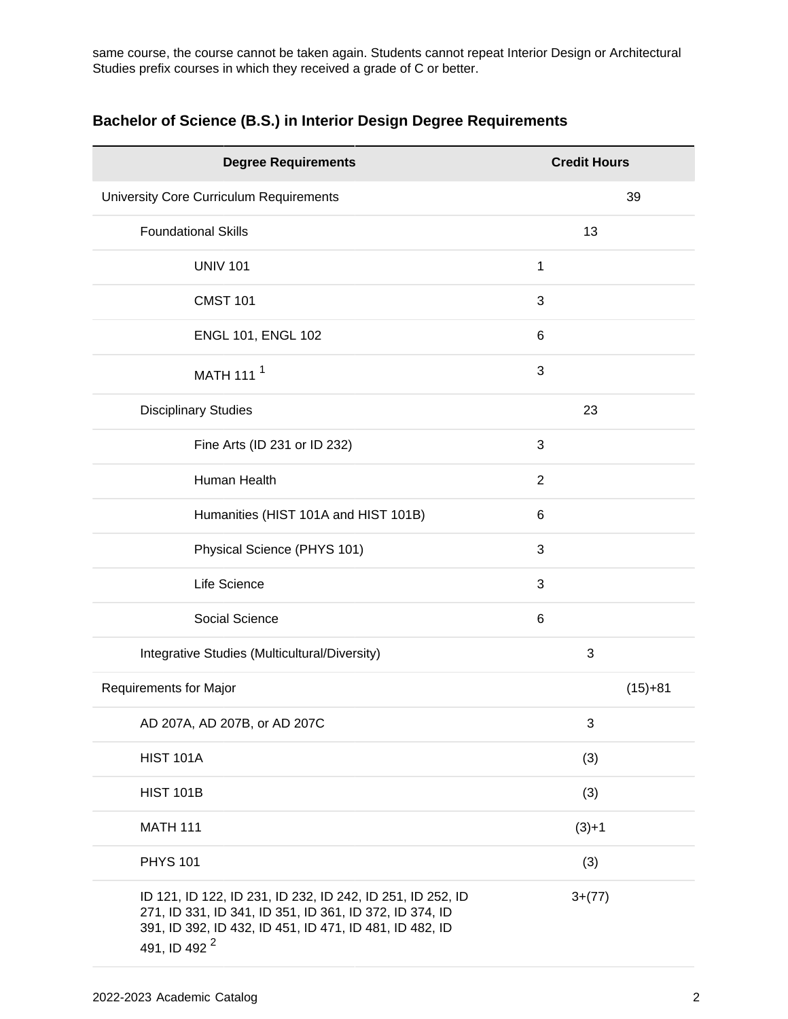same course, the course cannot be taken again. Students cannot repeat Interior Design or Architectural Studies prefix courses in which they received a grade of C or better.

| <b>Degree Requirements</b>                                                                                                                                                                                   | <b>Credit Hours</b> |           |
|--------------------------------------------------------------------------------------------------------------------------------------------------------------------------------------------------------------|---------------------|-----------|
| University Core Curriculum Requirements                                                                                                                                                                      |                     | 39        |
| <b>Foundational Skills</b>                                                                                                                                                                                   | 13                  |           |
| <b>UNIV 101</b>                                                                                                                                                                                              | 1                   |           |
| <b>CMST 101</b>                                                                                                                                                                                              | 3                   |           |
| ENGL 101, ENGL 102                                                                                                                                                                                           | 6                   |           |
| MATH 111 <sup>1</sup>                                                                                                                                                                                        | 3                   |           |
| <b>Disciplinary Studies</b>                                                                                                                                                                                  | 23                  |           |
| Fine Arts (ID 231 or ID 232)                                                                                                                                                                                 | 3                   |           |
| Human Health                                                                                                                                                                                                 | $\overline{2}$      |           |
| Humanities (HIST 101A and HIST 101B)                                                                                                                                                                         | 6                   |           |
| Physical Science (PHYS 101)                                                                                                                                                                                  | 3                   |           |
| Life Science                                                                                                                                                                                                 | 3                   |           |
| Social Science                                                                                                                                                                                               | 6                   |           |
| Integrative Studies (Multicultural/Diversity)                                                                                                                                                                | 3                   |           |
| Requirements for Major                                                                                                                                                                                       |                     | $(15)+81$ |
| AD 207A, AD 207B, or AD 207C                                                                                                                                                                                 | 3                   |           |
| <b>HIST 101A</b>                                                                                                                                                                                             | (3)                 |           |
| <b>HIST 101B</b>                                                                                                                                                                                             | (3)                 |           |
| <b>MATH 111</b>                                                                                                                                                                                              | $(3)+1$             |           |
| <b>PHYS 101</b>                                                                                                                                                                                              | (3)                 |           |
| ID 121, ID 122, ID 231, ID 232, ID 242, ID 251, ID 252, ID<br>271, ID 331, ID 341, ID 351, ID 361, ID 372, ID 374, ID<br>391, ID 392, ID 432, ID 451, ID 471, ID 481, ID 482, ID<br>491, ID 492 <sup>2</sup> | $3+(77)$            |           |

### **Bachelor of Science (B.S.) in Interior Design Degree Requirements**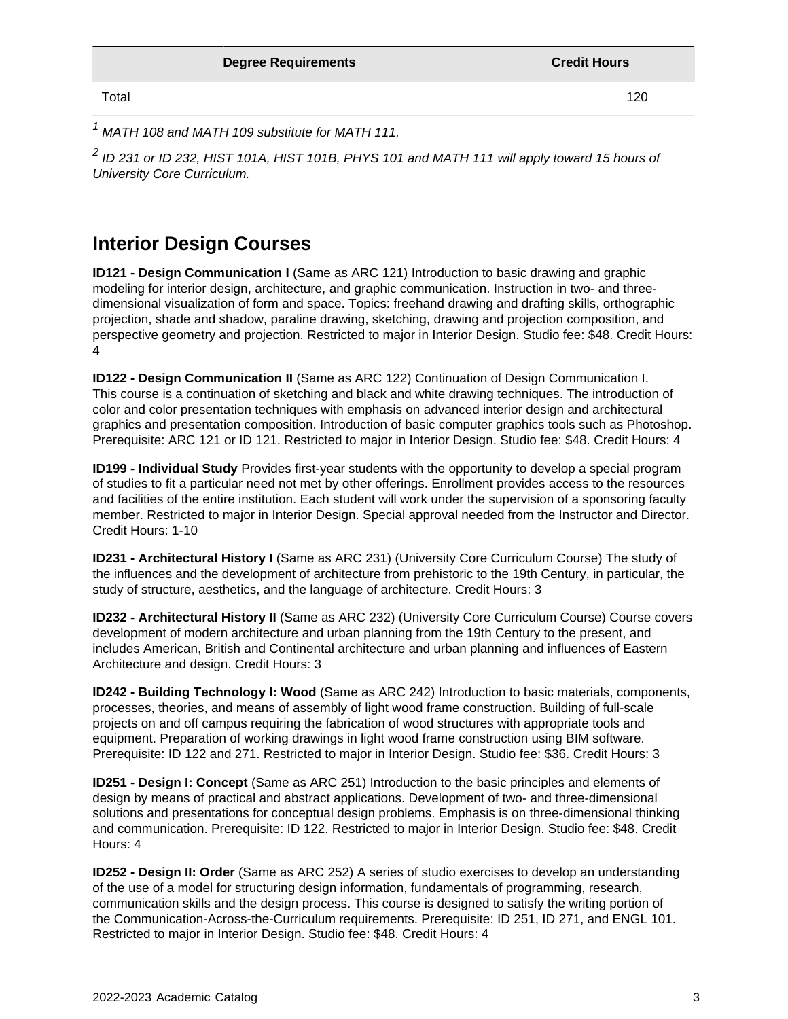Total 120

 $1$  MATH 108 and MATH 109 substitute for MATH 111.

 $^2$  ID 231 or ID 232, HIST 101A, HIST 101B, PHYS 101 and MATH 111 will apply toward 15 hours of University Core Curriculum.

### **Interior Design Courses**

**ID121 - Design Communication I** (Same as ARC 121) Introduction to basic drawing and graphic modeling for interior design, architecture, and graphic communication. Instruction in two- and threedimensional visualization of form and space. Topics: freehand drawing and drafting skills, orthographic projection, shade and shadow, paraline drawing, sketching, drawing and projection composition, and perspective geometry and projection. Restricted to major in Interior Design. Studio fee: \$48. Credit Hours: 4

**ID122 - Design Communication II** (Same as ARC 122) Continuation of Design Communication I. This course is a continuation of sketching and black and white drawing techniques. The introduction of color and color presentation techniques with emphasis on advanced interior design and architectural graphics and presentation composition. Introduction of basic computer graphics tools such as Photoshop. Prerequisite: ARC 121 or ID 121. Restricted to major in Interior Design. Studio fee: \$48. Credit Hours: 4

**ID199 - Individual Study** Provides first-year students with the opportunity to develop a special program of studies to fit a particular need not met by other offerings. Enrollment provides access to the resources and facilities of the entire institution. Each student will work under the supervision of a sponsoring faculty member. Restricted to major in Interior Design. Special approval needed from the Instructor and Director. Credit Hours: 1-10

**ID231 - Architectural History I** (Same as ARC 231) (University Core Curriculum Course) The study of the influences and the development of architecture from prehistoric to the 19th Century, in particular, the study of structure, aesthetics, and the language of architecture. Credit Hours: 3

**ID232 - Architectural History II** (Same as ARC 232) (University Core Curriculum Course) Course covers development of modern architecture and urban planning from the 19th Century to the present, and includes American, British and Continental architecture and urban planning and influences of Eastern Architecture and design. Credit Hours: 3

**ID242 - Building Technology I: Wood** (Same as ARC 242) Introduction to basic materials, components, processes, theories, and means of assembly of light wood frame construction. Building of full-scale projects on and off campus requiring the fabrication of wood structures with appropriate tools and equipment. Preparation of working drawings in light wood frame construction using BIM software. Prerequisite: ID 122 and 271. Restricted to major in Interior Design. Studio fee: \$36. Credit Hours: 3

**ID251 - Design I: Concept** (Same as ARC 251) Introduction to the basic principles and elements of design by means of practical and abstract applications. Development of two- and three-dimensional solutions and presentations for conceptual design problems. Emphasis is on three-dimensional thinking and communication. Prerequisite: ID 122. Restricted to major in Interior Design. Studio fee: \$48. Credit Hours: 4

**ID252 - Design II: Order** (Same as ARC 252) A series of studio exercises to develop an understanding of the use of a model for structuring design information, fundamentals of programming, research, communication skills and the design process. This course is designed to satisfy the writing portion of the Communication-Across-the-Curriculum requirements. Prerequisite: ID 251, ID 271, and ENGL 101. Restricted to major in Interior Design. Studio fee: \$48. Credit Hours: 4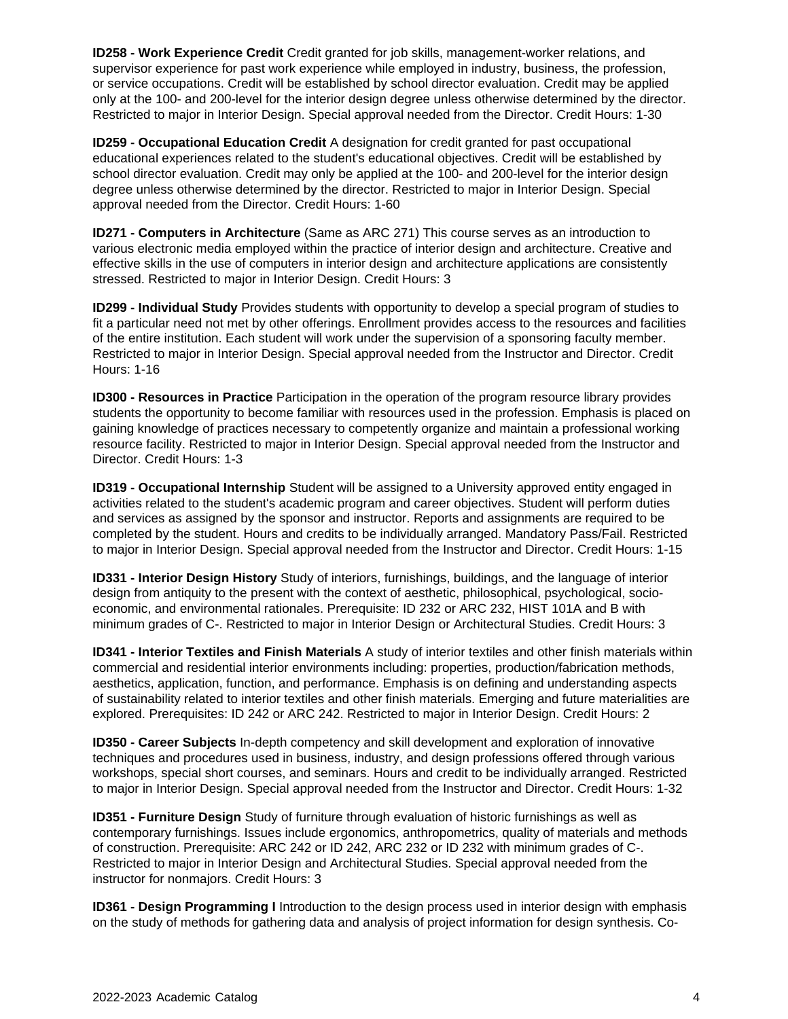**ID258 - Work Experience Credit** Credit granted for job skills, management-worker relations, and supervisor experience for past work experience while employed in industry, business, the profession, or service occupations. Credit will be established by school director evaluation. Credit may be applied only at the 100- and 200-level for the interior design degree unless otherwise determined by the director. Restricted to major in Interior Design. Special approval needed from the Director. Credit Hours: 1-30

**ID259 - Occupational Education Credit** A designation for credit granted for past occupational educational experiences related to the student's educational objectives. Credit will be established by school director evaluation. Credit may only be applied at the 100- and 200-level for the interior design degree unless otherwise determined by the director. Restricted to major in Interior Design. Special approval needed from the Director. Credit Hours: 1-60

**ID271 - Computers in Architecture** (Same as ARC 271) This course serves as an introduction to various electronic media employed within the practice of interior design and architecture. Creative and effective skills in the use of computers in interior design and architecture applications are consistently stressed. Restricted to major in Interior Design. Credit Hours: 3

**ID299 - Individual Study** Provides students with opportunity to develop a special program of studies to fit a particular need not met by other offerings. Enrollment provides access to the resources and facilities of the entire institution. Each student will work under the supervision of a sponsoring faculty member. Restricted to major in Interior Design. Special approval needed from the Instructor and Director. Credit Hours: 1-16

**ID300 - Resources in Practice** Participation in the operation of the program resource library provides students the opportunity to become familiar with resources used in the profession. Emphasis is placed on gaining knowledge of practices necessary to competently organize and maintain a professional working resource facility. Restricted to major in Interior Design. Special approval needed from the Instructor and Director. Credit Hours: 1-3

**ID319 - Occupational Internship** Student will be assigned to a University approved entity engaged in activities related to the student's academic program and career objectives. Student will perform duties and services as assigned by the sponsor and instructor. Reports and assignments are required to be completed by the student. Hours and credits to be individually arranged. Mandatory Pass/Fail. Restricted to major in Interior Design. Special approval needed from the Instructor and Director. Credit Hours: 1-15

**ID331 - Interior Design History** Study of interiors, furnishings, buildings, and the language of interior design from antiquity to the present with the context of aesthetic, philosophical, psychological, socioeconomic, and environmental rationales. Prerequisite: ID 232 or ARC 232, HIST 101A and B with minimum grades of C-. Restricted to major in Interior Design or Architectural Studies. Credit Hours: 3

**ID341 - Interior Textiles and Finish Materials** A study of interior textiles and other finish materials within commercial and residential interior environments including: properties, production/fabrication methods, aesthetics, application, function, and performance. Emphasis is on defining and understanding aspects of sustainability related to interior textiles and other finish materials. Emerging and future materialities are explored. Prerequisites: ID 242 or ARC 242. Restricted to major in Interior Design. Credit Hours: 2

**ID350 - Career Subjects** In-depth competency and skill development and exploration of innovative techniques and procedures used in business, industry, and design professions offered through various workshops, special short courses, and seminars. Hours and credit to be individually arranged. Restricted to major in Interior Design. Special approval needed from the Instructor and Director. Credit Hours: 1-32

**ID351 - Furniture Design** Study of furniture through evaluation of historic furnishings as well as contemporary furnishings. Issues include ergonomics, anthropometrics, quality of materials and methods of construction. Prerequisite: ARC 242 or ID 242, ARC 232 or ID 232 with minimum grades of C-. Restricted to major in Interior Design and Architectural Studies. Special approval needed from the instructor for nonmajors. Credit Hours: 3

**ID361 - Design Programming I** Introduction to the design process used in interior design with emphasis on the study of methods for gathering data and analysis of project information for design synthesis. Co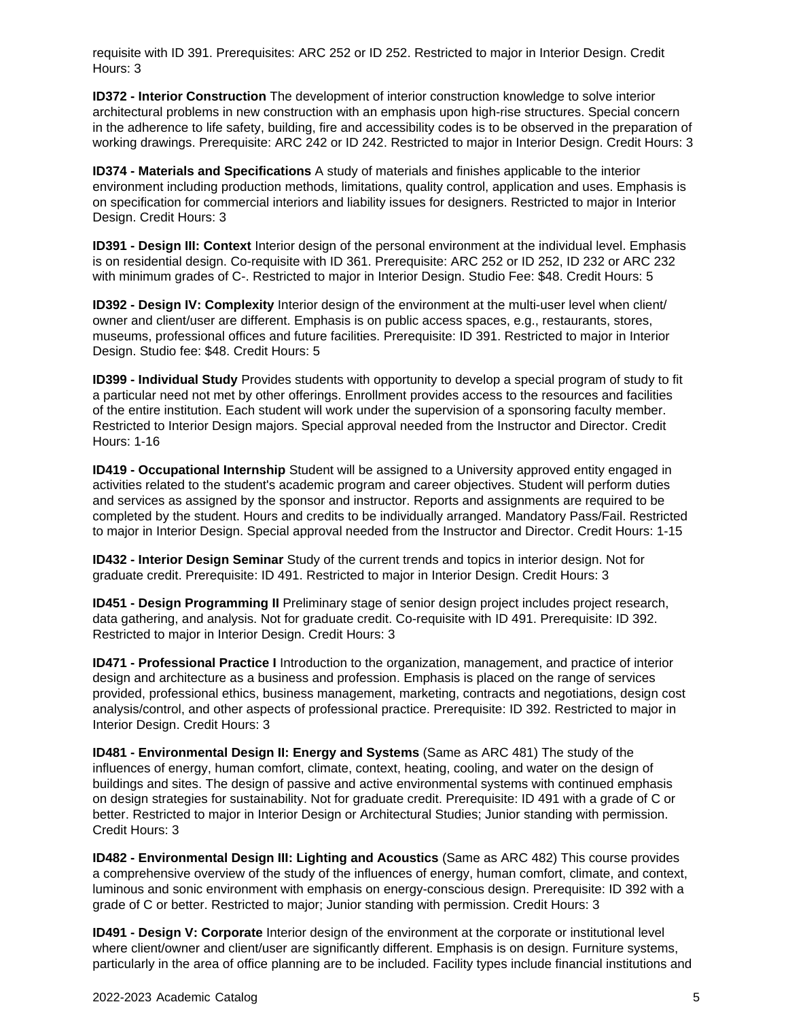requisite with ID 391. Prerequisites: ARC 252 or ID 252. Restricted to major in Interior Design. Credit Hours: 3

**ID372 - Interior Construction** The development of interior construction knowledge to solve interior architectural problems in new construction with an emphasis upon high-rise structures. Special concern in the adherence to life safety, building, fire and accessibility codes is to be observed in the preparation of working drawings. Prerequisite: ARC 242 or ID 242. Restricted to major in Interior Design. Credit Hours: 3

**ID374 - Materials and Specifications** A study of materials and finishes applicable to the interior environment including production methods, limitations, quality control, application and uses. Emphasis is on specification for commercial interiors and liability issues for designers. Restricted to major in Interior Design. Credit Hours: 3

**ID391 - Design III: Context** Interior design of the personal environment at the individual level. Emphasis is on residential design. Co-requisite with ID 361. Prerequisite: ARC 252 or ID 252, ID 232 or ARC 232 with minimum grades of C-. Restricted to major in Interior Design. Studio Fee: \$48. Credit Hours: 5

**ID392 - Design IV: Complexity** Interior design of the environment at the multi-user level when client/ owner and client/user are different. Emphasis is on public access spaces, e.g., restaurants, stores, museums, professional offices and future facilities. Prerequisite: ID 391. Restricted to major in Interior Design. Studio fee: \$48. Credit Hours: 5

**ID399 - Individual Study** Provides students with opportunity to develop a special program of study to fit a particular need not met by other offerings. Enrollment provides access to the resources and facilities of the entire institution. Each student will work under the supervision of a sponsoring faculty member. Restricted to Interior Design majors. Special approval needed from the Instructor and Director. Credit Hours: 1-16

**ID419 - Occupational Internship** Student will be assigned to a University approved entity engaged in activities related to the student's academic program and career objectives. Student will perform duties and services as assigned by the sponsor and instructor. Reports and assignments are required to be completed by the student. Hours and credits to be individually arranged. Mandatory Pass/Fail. Restricted to major in Interior Design. Special approval needed from the Instructor and Director. Credit Hours: 1-15

**ID432 - Interior Design Seminar** Study of the current trends and topics in interior design. Not for graduate credit. Prerequisite: ID 491. Restricted to major in Interior Design. Credit Hours: 3

**ID451 - Design Programming II** Preliminary stage of senior design project includes project research, data gathering, and analysis. Not for graduate credit. Co-requisite with ID 491. Prerequisite: ID 392. Restricted to major in Interior Design. Credit Hours: 3

**ID471 - Professional Practice I** Introduction to the organization, management, and practice of interior design and architecture as a business and profession. Emphasis is placed on the range of services provided, professional ethics, business management, marketing, contracts and negotiations, design cost analysis/control, and other aspects of professional practice. Prerequisite: ID 392. Restricted to major in Interior Design. Credit Hours: 3

**ID481 - Environmental Design II: Energy and Systems** (Same as ARC 481) The study of the influences of energy, human comfort, climate, context, heating, cooling, and water on the design of buildings and sites. The design of passive and active environmental systems with continued emphasis on design strategies for sustainability. Not for graduate credit. Prerequisite: ID 491 with a grade of C or better. Restricted to major in Interior Design or Architectural Studies; Junior standing with permission. Credit Hours: 3

**ID482 - Environmental Design III: Lighting and Acoustics** (Same as ARC 482) This course provides a comprehensive overview of the study of the influences of energy, human comfort, climate, and context, luminous and sonic environment with emphasis on energy-conscious design. Prerequisite: ID 392 with a grade of C or better. Restricted to major; Junior standing with permission. Credit Hours: 3

**ID491 - Design V: Corporate** Interior design of the environment at the corporate or institutional level where client/owner and client/user are significantly different. Emphasis is on design. Furniture systems, particularly in the area of office planning are to be included. Facility types include financial institutions and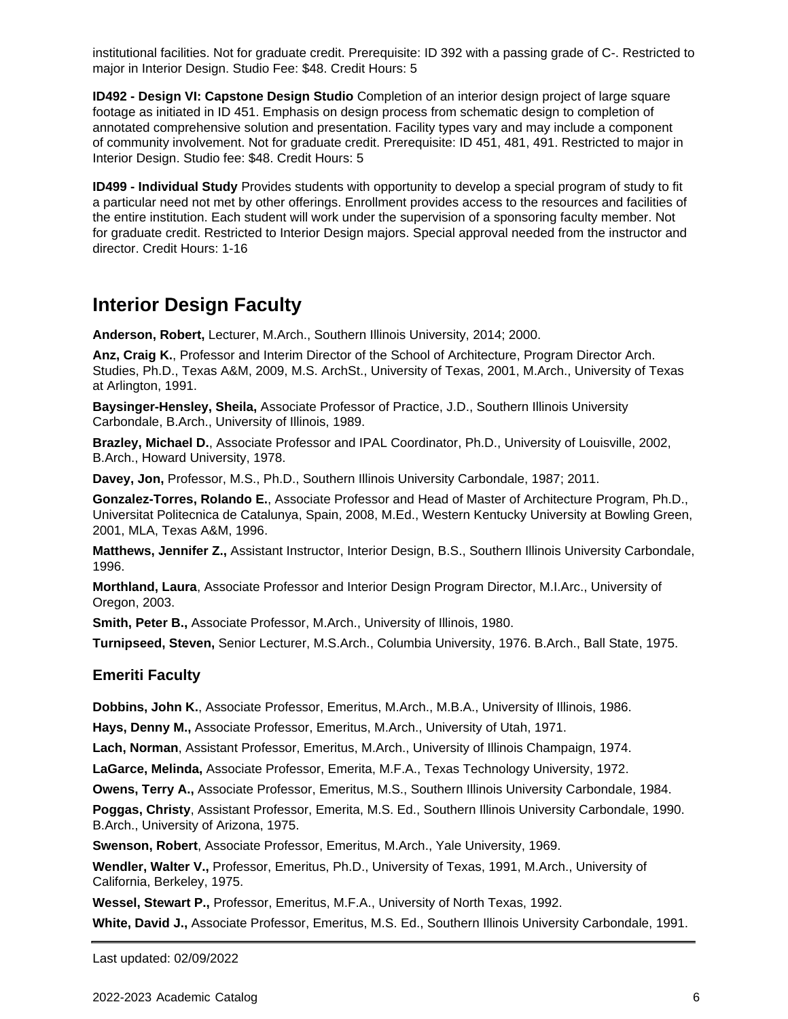institutional facilities. Not for graduate credit. Prerequisite: ID 392 with a passing grade of C-. Restricted to major in Interior Design. Studio Fee: \$48. Credit Hours: 5

**ID492 - Design VI: Capstone Design Studio** Completion of an interior design project of large square footage as initiated in ID 451. Emphasis on design process from schematic design to completion of annotated comprehensive solution and presentation. Facility types vary and may include a component of community involvement. Not for graduate credit. Prerequisite: ID 451, 481, 491. Restricted to major in Interior Design. Studio fee: \$48. Credit Hours: 5

**ID499 - Individual Study** Provides students with opportunity to develop a special program of study to fit a particular need not met by other offerings. Enrollment provides access to the resources and facilities of the entire institution. Each student will work under the supervision of a sponsoring faculty member. Not for graduate credit. Restricted to Interior Design majors. Special approval needed from the instructor and director. Credit Hours: 1-16

### **Interior Design Faculty**

**Anderson, Robert,** Lecturer, M.Arch., Southern Illinois University, 2014; 2000.

**Anz, Craig K.**, Professor and Interim Director of the School of Architecture, Program Director Arch. Studies, Ph.D., Texas A&M, 2009, M.S. ArchSt., University of Texas, 2001, M.Arch., University of Texas at Arlington, 1991.

**Baysinger-Hensley, Sheila,** Associate Professor of Practice, J.D., Southern Illinois University Carbondale, B.Arch., University of Illinois, 1989.

**Brazley, Michael D.**, Associate Professor and IPAL Coordinator, Ph.D., University of Louisville, 2002, B.Arch., Howard University, 1978.

**Davey, Jon,** Professor, M.S., Ph.D., Southern Illinois University Carbondale, 1987; 2011.

**Gonzalez-Torres, Rolando E.**, Associate Professor and Head of Master of Architecture Program, Ph.D., Universitat Politecnica de Catalunya, Spain, 2008, M.Ed., Western Kentucky University at Bowling Green, 2001, MLA, Texas A&M, 1996.

**Matthews, Jennifer Z.,** Assistant Instructor, Interior Design, B.S., Southern Illinois University Carbondale, 1996.

**Morthland, Laura**, Associate Professor and Interior Design Program Director, M.I.Arc., University of Oregon, 2003.

**Smith, Peter B.,** Associate Professor, M.Arch., University of Illinois, 1980.

**Turnipseed, Steven,** Senior Lecturer, M.S.Arch., Columbia University, 1976. B.Arch., Ball State, 1975.

#### **Emeriti Faculty**

**Dobbins, John K.**, Associate Professor, Emeritus, M.Arch., M.B.A., University of Illinois, 1986.

**Hays, Denny M.,** Associate Professor, Emeritus, M.Arch., University of Utah, 1971.

**Lach, Norman**, Assistant Professor, Emeritus, M.Arch., University of Illinois Champaign, 1974.

**LaGarce, Melinda,** Associate Professor, Emerita, M.F.A., Texas Technology University, 1972.

**Owens, Terry A.,** Associate Professor, Emeritus, M.S., Southern Illinois University Carbondale, 1984.

**Poggas, Christy**, Assistant Professor, Emerita, M.S. Ed., Southern Illinois University Carbondale, 1990. B.Arch., University of Arizona, 1975.

**Swenson, Robert**, Associate Professor, Emeritus, M.Arch., Yale University, 1969.

**Wendler, Walter V.,** Professor, Emeritus, Ph.D., University of Texas, 1991, M.Arch., University of California, Berkeley, 1975.

**Wessel, Stewart P.,** Professor, Emeritus, M.F.A., University of North Texas, 1992.

**White, David J.,** Associate Professor, Emeritus, M.S. Ed., Southern Illinois University Carbondale, 1991.

Last updated: 02/09/2022